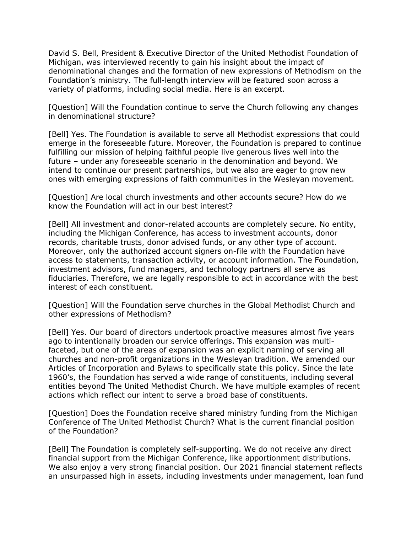David S. Bell, President & Executive Director of the United Methodist Foundation of Michigan, was interviewed recently to gain his insight about the impact of denominational changes and the formation of new expressions of Methodism on the Foundation's ministry. The full-length interview will be featured soon across a variety of platforms, including social media. Here is an excerpt.

[Question] Will the Foundation continue to serve the Church following any changes in denominational structure?

[Bell] Yes. The Foundation is available to serve all Methodist expressions that could emerge in the foreseeable future. Moreover, the Foundation is prepared to continue fulfilling our mission of helping faithful people live generous lives well into the future – under any foreseeable scenario in the denomination and beyond. We intend to continue our present partnerships, but we also are eager to grow new ones with emerging expressions of faith communities in the Wesleyan movement.

[Question] Are local church investments and other accounts secure? How do we know the Foundation will act in our best interest?

[Bell] All investment and donor-related accounts are completely secure. No entity, including the Michigan Conference, has access to investment accounts, donor records, charitable trusts, donor advised funds, or any other type of account. Moreover, only the authorized account signers on-file with the Foundation have access to statements, transaction activity, or account information. The Foundation, investment advisors, fund managers, and technology partners all serve as fiduciaries. Therefore, we are legally responsible to act in accordance with the best interest of each constituent.

[Question] Will the Foundation serve churches in the Global Methodist Church and other expressions of Methodism?

[Bell] Yes. Our board of directors undertook proactive measures almost five years ago to intentionally broaden our service offerings. This expansion was multifaceted, but one of the areas of expansion was an explicit naming of serving all churches and non-profit organizations in the Wesleyan tradition. We amended our Articles of Incorporation and Bylaws to specifically state this policy. Since the late 1960's, the Foundation has served a wide range of constituents, including several entities beyond The United Methodist Church. We have multiple examples of recent actions which reflect our intent to serve a broad base of constituents.

[Question] Does the Foundation receive shared ministry funding from the Michigan Conference of The United Methodist Church? What is the current financial position of the Foundation?

[Bell] The Foundation is completely self-supporting. We do not receive any direct financial support from the Michigan Conference, like apportionment distributions. We also enjoy a very strong financial position. Our 2021 financial statement reflects an unsurpassed high in assets, including investments under management, loan fund